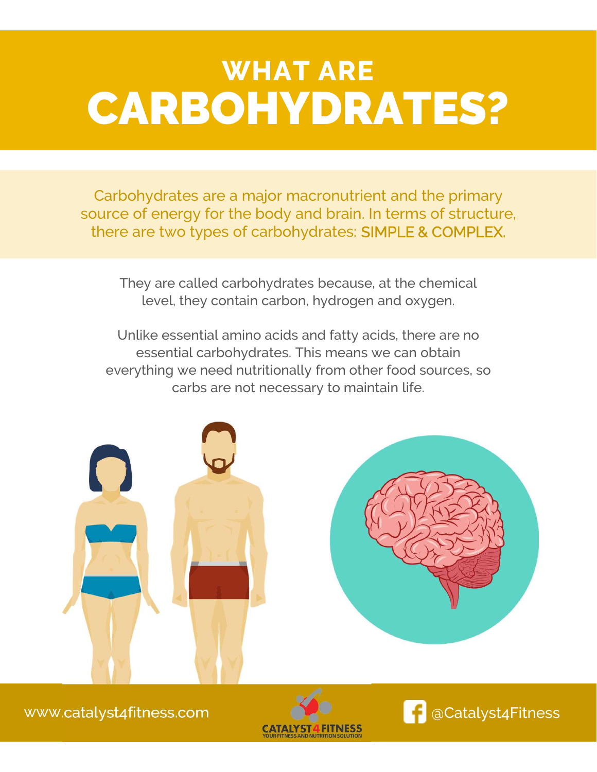## WHAT ARE CARBOHYDRATES?

Carbohydrates are a major macronutrient and the primary source of energy for the body and brain. In terms of structure, there are two types of carbohydrates: SIMPLE & COMPLEX.

They are called carbohydrates because, at the chemical level, they contain carbon, hydrogen and oxygen.

Unlike essential amino acids and fatty acids, there are no essential carbohydrates. This means we can obtain everything we need nutritionally from other food sources, so carbs are not necessary to maintain life.





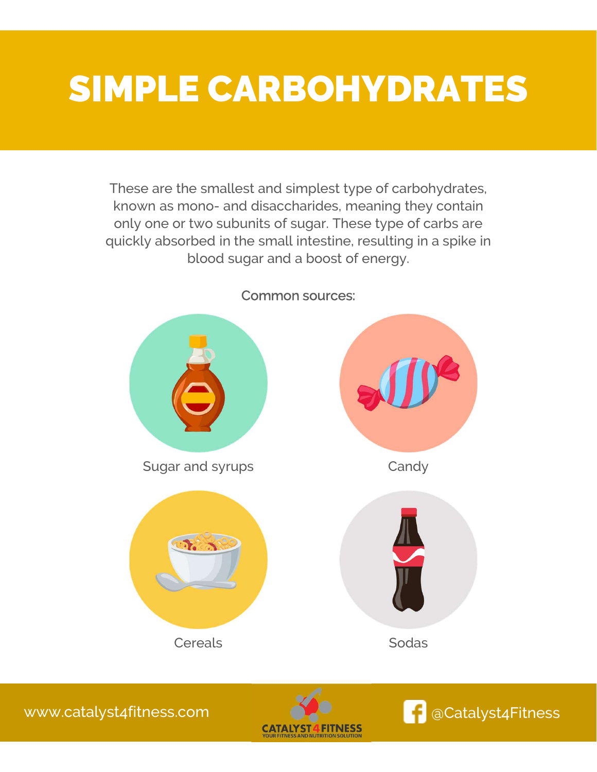## SIMPLE CARBOHYDRATES

These are the smallest and simplest type of carbohydrates, THE CARBOTTYDRATES<br>These are the smallest and simplest type of carbohydrates,<br>known as mono- and disaccharides, meaning they contain<br>only one or two subunits of sugar. These type of carbs are<br>uickly absorbed in the small i only one or two subunits of sugar. These type of carbs are quickly absorbed in the small intestine, resulting in a spike in blood sugar and a boost of energy.



### Common sources:

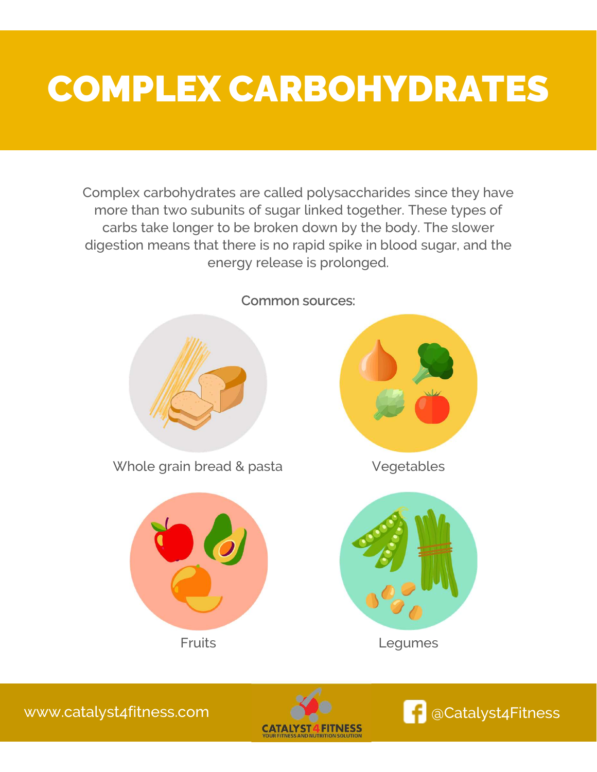## COMPLEX CARBOHYDRATES

Complex carbohydrates are called polysaccharides since they have more than two subunits of sugar linked together. These types of carbs take longer to be broken down by the body. The slower digestion means that there is no rapid spike in blood sugar, and the energy release is prolonged.



Common sources:



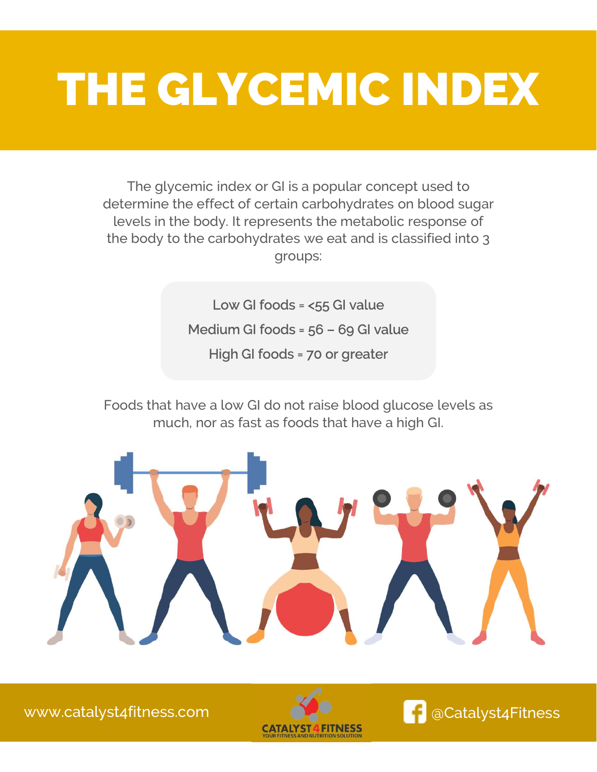# THE GLYCEMIC INDEX

The glycemic index or GI is a popular concept used to determine the effect of certain carbohydrates on blood sugar levels in the body. It represents the metabolic response of the body to the carbohydrates we eat and is classified into 3 groups: Mediam GI foods = 56 – 69 GI value<br>High GI foods = 56 – 69 GI value<br>High GI foods = 70 or greater

Low GI foods = <55 GI value High GI foods = 70 or greater

Foods that have a low GI do not raise blood glucose levels as much, nor as fast as foods that have a high GI.





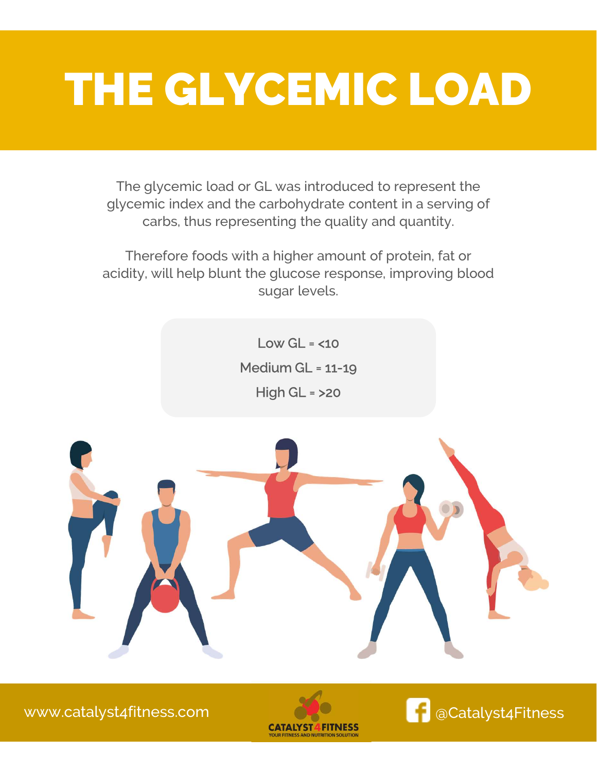# THE GLYCEMIC LOAD

The glycemic load or GL was introduced to represent the glycemic index and the carbohydrate content in a serving of carbs, thus representing the quality and quantity.

Therefore foods with a higher amount of protein, fat or acidity, will help blunt the glucose response, improving blood sugar levels.

> Low  $GL = <10$ Medium GL = 11-19 High GL = >20



[www.catalyst4fitness.com](http://www.catalyst4fitness.com) <mark>C</mark>Catalyst4Fitness



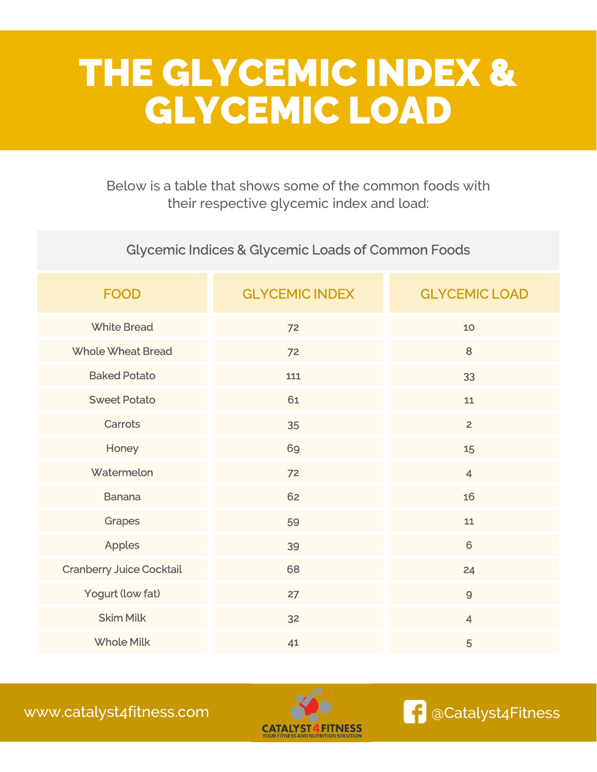### THE GLYCEMIC INDEX & GLYCEMIC LOAD

Below is a table that shows some of the common foods with their respective glycemic index and load:

### Glycemic Indices & Glycemic Loads of Common Foods

| <b>FOOD</b>                     | <b>GLYCEMIC INDEX</b> | <b>GLYCEMIC LOAD</b> |
|---------------------------------|-----------------------|----------------------|
| <b>White Bread</b>              | 72                    | 10 <sub>o</sub>      |
| <b>Whole Wheat Bread</b>        | 72                    | 8                    |
| <b>Baked Potato</b>             | 111                   | 33                   |
| <b>Sweet Potato</b>             | 61                    | 11                   |
| <b>Carrots</b>                  | 35                    | $\overline{2}$       |
| Honey                           | 69                    | 15                   |
| Watermelon                      | 72                    | $\overline{4}$       |
| <b>Banana</b>                   | 62                    | 16                   |
| <b>Grapes</b>                   | 59                    | ${\bf 11}$           |
| <b>Apples</b>                   | 39                    | $6\phantom{1}$       |
| <b>Cranberry Juice Cocktail</b> | 68                    | 24                   |
| Yogurt (low fat)                | 27                    | $\overline{9}$       |
| <b>Skim Milk</b>                | 32                    | $\overline{4}$       |
| <b>Whole Milk</b>               | 41                    | 5                    |

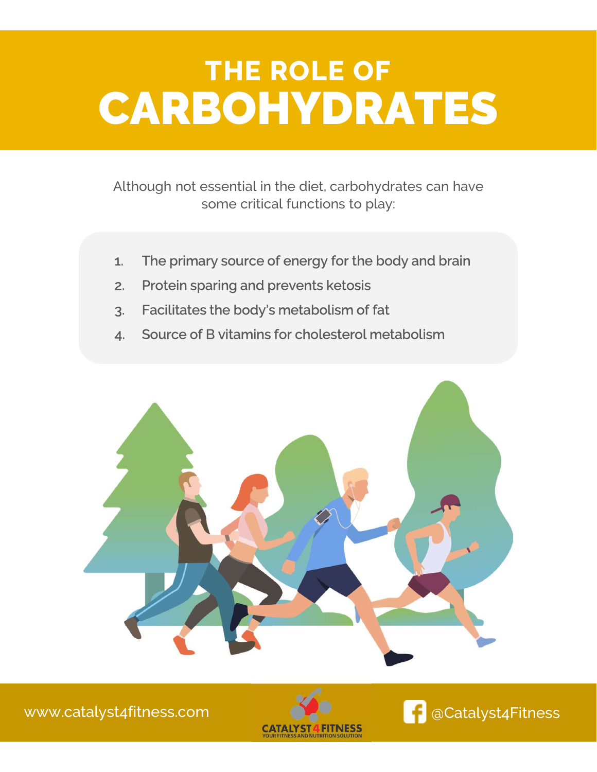## THE ROLE OF CARBOHYDRATES

Although not essential in the diet, carbohydrates can have some critical functions to play: Although not essential in the diet, carbohydrates can have<br>some critical functions to play:<br>1. The primary source of energy for the body and brain<br>2. Protein sparing and prevents ketosis Although not essential in the diet, carbohydrates ca<br>some critical functions to play:<br>1. The primary source of energy for the body and l<br>2. Protein sparing and prevents ketosis<br>3. Facilitates the body's metabolism of fat 3. Facilitates the body's metabolism of fat<br>3. Facilitates the body's metabolism of fat<br>3. Facilitates the body's metabolism of fat<br>4. Source of B vitamins for cholesterol metabolism

- 1. The primary source of energy for the body and brain<br>2. Protein sparing and prevents ketosis<br>3. Facilitates the body's metabolism of fat<br>4. Source of B vitamins for cholesterol metabolism
- 
- 
- 



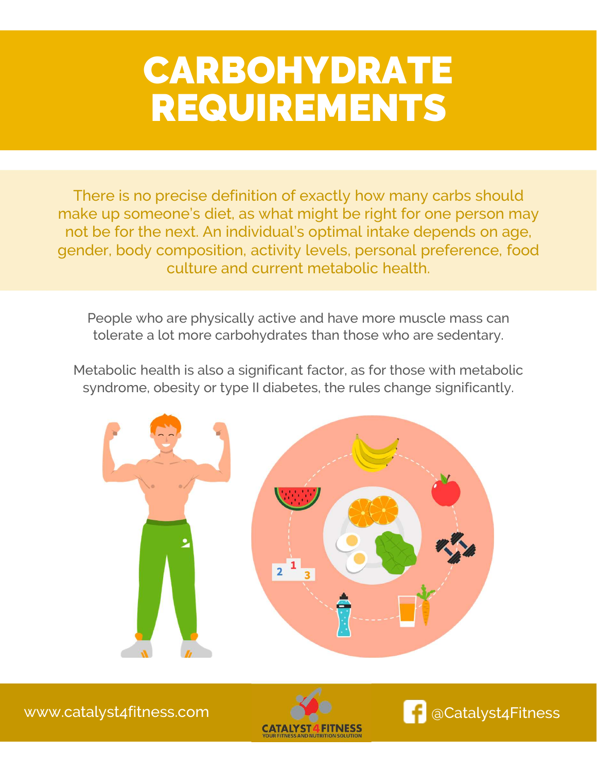## CARBOHYDRATE REQUIREMENTS

There is no precise definition of exactly how many carbs should make up someone's diet, as what might be right for one person may not be for the next. An individual's optimal intake depends on age, gender, body composition, activity levels, personal preference, food culture and current metabolic health.

People who are physically active and have more muscle mass can tolerate a lot more carbohydrates than those who are sedentary.

Metabolic health is also a significant factor, as for those with metabolic syndrome, obesity or type II diabetes, the rules change significantly.